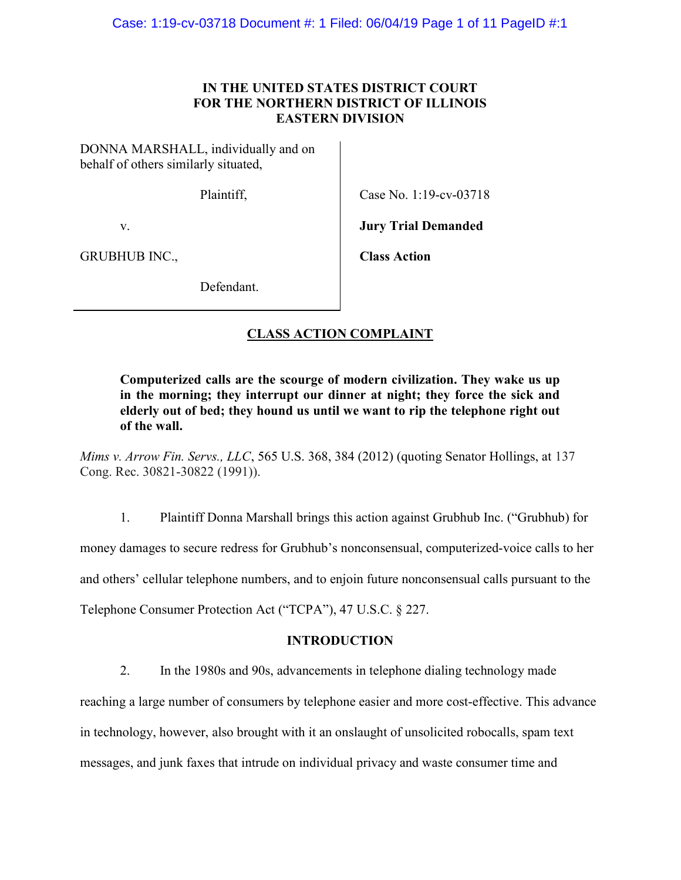# IN THE UNITED STATES DISTRICT COURT FOR THE NORTHERN DISTRICT OF ILLINOIS EASTERN DIVISION

DONNA MARSHALL, individually and on behalf of others similarly situated,

Plaintiff,

Case No. 1:19-cv-03718

v.

Jury Trial Demanded

GRUBHUB INC.,

Class Action

Defendant.

# CLASS ACTION COMPLAINT

Computerized calls are the scourge of modern civilization. They wake us up in the morning; they interrupt our dinner at night; they force the sick and elderly out of bed; they hound us until we want to rip the telephone right out of the wall.

Mims v. Arrow Fin. Servs., LLC, 565 U.S. 368, 384 (2012) (quoting Senator Hollings, at 137 Cong. Rec. 30821-30822 (1991)).

1. Plaintiff Donna Marshall brings this action against Grubhub Inc. ("Grubhub) for money damages to secure redress for Grubhub's nonconsensual, computerized-voice calls to her and others' cellular telephone numbers, and to enjoin future nonconsensual calls pursuant to the Telephone Consumer Protection Act ("TCPA"), 47 U.S.C. § 227.

# INTRODUCTION

2. In the 1980s and 90s, advancements in telephone dialing technology made reaching a large number of consumers by telephone easier and more cost-effective. This advance in technology, however, also brought with it an onslaught of unsolicited robocalls, spam text messages, and junk faxes that intrude on individual privacy and waste consumer time and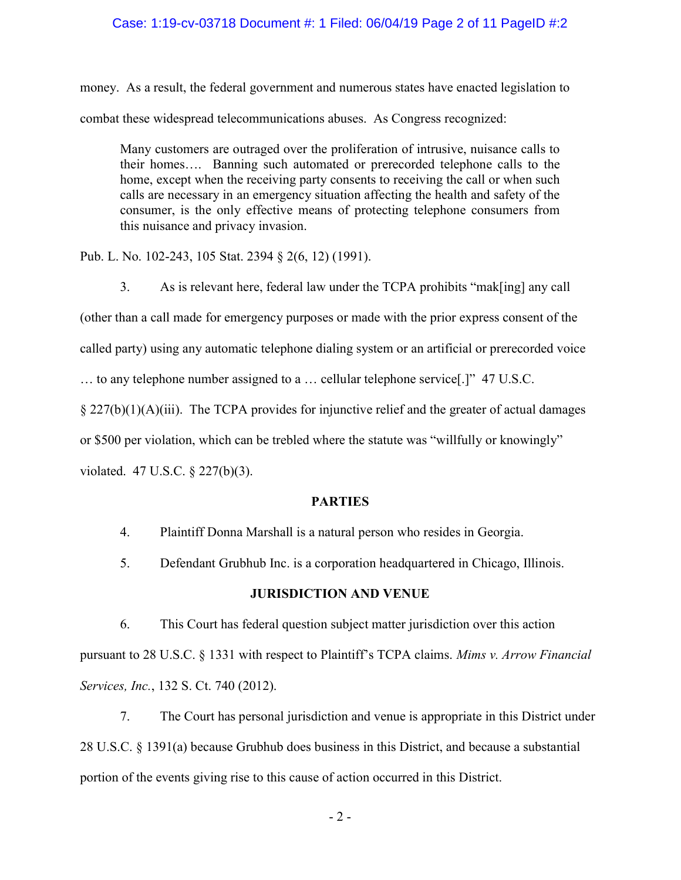### Case: 1:19-cv-03718 Document #: 1 Filed: 06/04/19 Page 2 of 11 PageID #:2

money. As a result, the federal government and numerous states have enacted legislation to combat these widespread telecommunications abuses. As Congress recognized:

Many customers are outraged over the proliferation of intrusive, nuisance calls to their homes…. Banning such automated or prerecorded telephone calls to the home, except when the receiving party consents to receiving the call or when such calls are necessary in an emergency situation affecting the health and safety of the consumer, is the only effective means of protecting telephone consumers from this nuisance and privacy invasion.

Pub. L. No. 102-243, 105 Stat. 2394 § 2(6, 12) (1991).

3. As is relevant here, federal law under the TCPA prohibits "mak[ing] any call (other than a call made for emergency purposes or made with the prior express consent of the called party) using any automatic telephone dialing system or an artificial or prerecorded voice … to any telephone number assigned to a … cellular telephone service[.]" 47 U.S.C. § 227(b)(1)(A)(iii). The TCPA provides for injunctive relief and the greater of actual damages or \$500 per violation, which can be trebled where the statute was "willfully or knowingly" violated. 47 U.S.C. § 227(b)(3).

### **PARTIES**

- 4. Plaintiff Donna Marshall is a natural person who resides in Georgia.
- 5. Defendant Grubhub Inc. is a corporation headquartered in Chicago, Illinois.

### JURISDICTION AND VENUE

6. This Court has federal question subject matter jurisdiction over this action pursuant to 28 U.S.C. § 1331 with respect to Plaintiff's TCPA claims. Mims v. Arrow Financial Services, Inc., 132 S. Ct. 740 (2012).

7. The Court has personal jurisdiction and venue is appropriate in this District under 28 U.S.C. § 1391(a) because Grubhub does business in this District, and because a substantial portion of the events giving rise to this cause of action occurred in this District.

- 2 -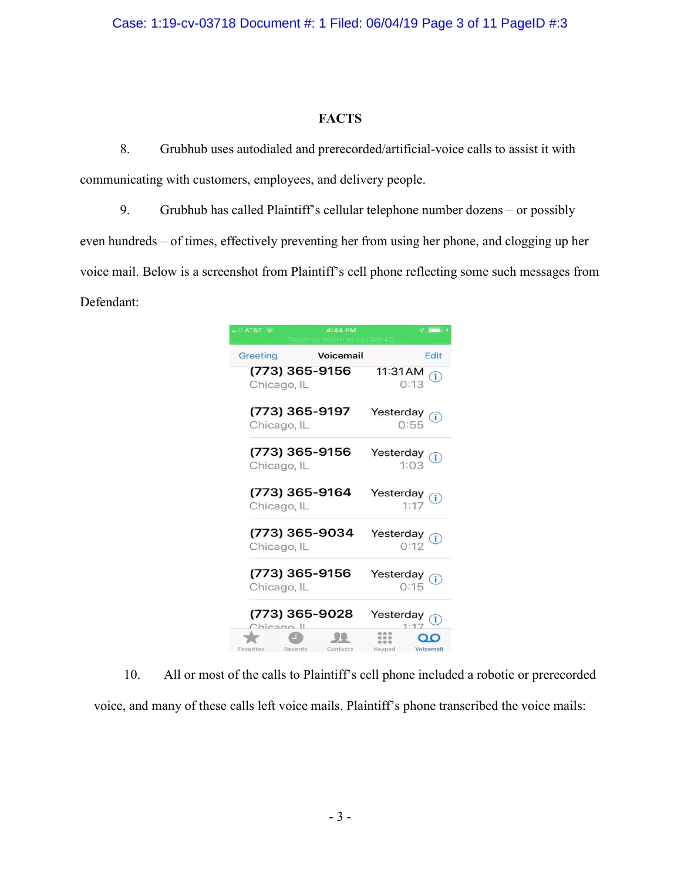### Case: 1:19-cv-03718 Document #: 1 Filed: 06/04/19 Page 3 of 11 PageID #:3

### FACTS

8. Grubhub uses autodialed and prerecorded/artificial-voice calls to assist it with communicating with customers, employees, and delivery people.

9. Grubhub has called Plaintiff's cellular telephone number dozens – or possibly even hundreds – of times, effectively preventing her from using her phone, and clogging up her voice mail. Below is a screenshot from Plaintiff's cell phone reflecting some such messages from Defendant:

| $-$ AT&T<br>4:44 PM           |                                    |
|-------------------------------|------------------------------------|
| Voicemail                     | Edit                               |
| Greeting                      | 11:31 AM                           |
| (773) 365-9156                | $\binom{1}{1}$                     |
| Chicago, IL                   | :13                                |
| (773) 365-9197<br>Chicago, IL | Yesterday<br>$\circ$<br>0:55       |
| (773) 365-9156                | Yesterday $\binom{1}{1}$           |
| Chicago, IL                   | 1:0.3                              |
| (773) 365-9164<br>Chicago, IL | Yesterday<br>$\bigcirc$<br>1:17    |
| (773) 365-9034                | Yesterday <sub>(1)</sub>           |
| Chicago, IL                   | 0:12                               |
| (773) 365-9156<br>Chicago, IL | Yesterday<br>$\circled{1}$<br>0:15 |
| (773) 365-9028                | Yesterday                          |
| Thingan II                    | $\overline{1}$                     |
| Favorites                     | 0.06                               |
| Recents                       | Keypad                             |
| Contacts                      | Voicemail                          |

10. All or most of the calls to Plaintiff's cell phone included a robotic or prerecorded

voice, and many of these calls left voice mails. Plaintiff's phone transcribed the voice mails: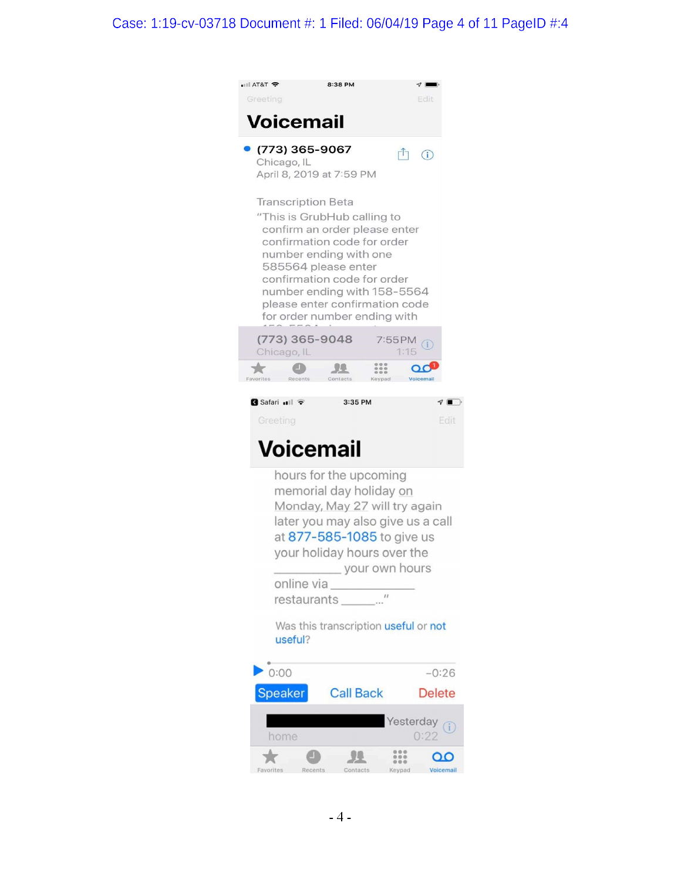# Case: 1:19-cv-03718 Document #: 1 Filed: 06/04/19 Page 4 of 11 PageID #:4

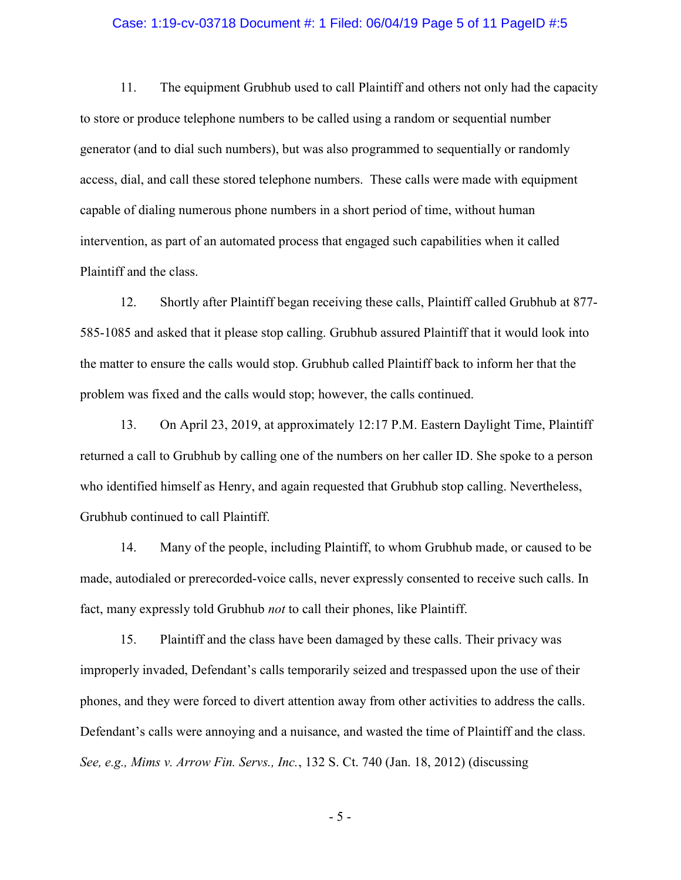#### Case: 1:19-cv-03718 Document #: 1 Filed: 06/04/19 Page 5 of 11 PageID #:5

11. The equipment Grubhub used to call Plaintiff and others not only had the capacity to store or produce telephone numbers to be called using a random or sequential number generator (and to dial such numbers), but was also programmed to sequentially or randomly access, dial, and call these stored telephone numbers. These calls were made with equipment capable of dialing numerous phone numbers in a short period of time, without human intervention, as part of an automated process that engaged such capabilities when it called Plaintiff and the class.

12. Shortly after Plaintiff began receiving these calls, Plaintiff called Grubhub at 877- 585-1085 and asked that it please stop calling. Grubhub assured Plaintiff that it would look into the matter to ensure the calls would stop. Grubhub called Plaintiff back to inform her that the problem was fixed and the calls would stop; however, the calls continued.

13. On April 23, 2019, at approximately 12:17 P.M. Eastern Daylight Time, Plaintiff returned a call to Grubhub by calling one of the numbers on her caller ID. She spoke to a person who identified himself as Henry, and again requested that Grubhub stop calling. Nevertheless, Grubhub continued to call Plaintiff.

14. Many of the people, including Plaintiff, to whom Grubhub made, or caused to be made, autodialed or prerecorded-voice calls, never expressly consented to receive such calls. In fact, many expressly told Grubhub not to call their phones, like Plaintiff.

15. Plaintiff and the class have been damaged by these calls. Their privacy was improperly invaded, Defendant's calls temporarily seized and trespassed upon the use of their phones, and they were forced to divert attention away from other activities to address the calls. Defendant's calls were annoying and a nuisance, and wasted the time of Plaintiff and the class. See, e.g., Mims v. Arrow Fin. Servs., Inc., 132 S. Ct. 740 (Jan. 18, 2012) (discussing

- 5 -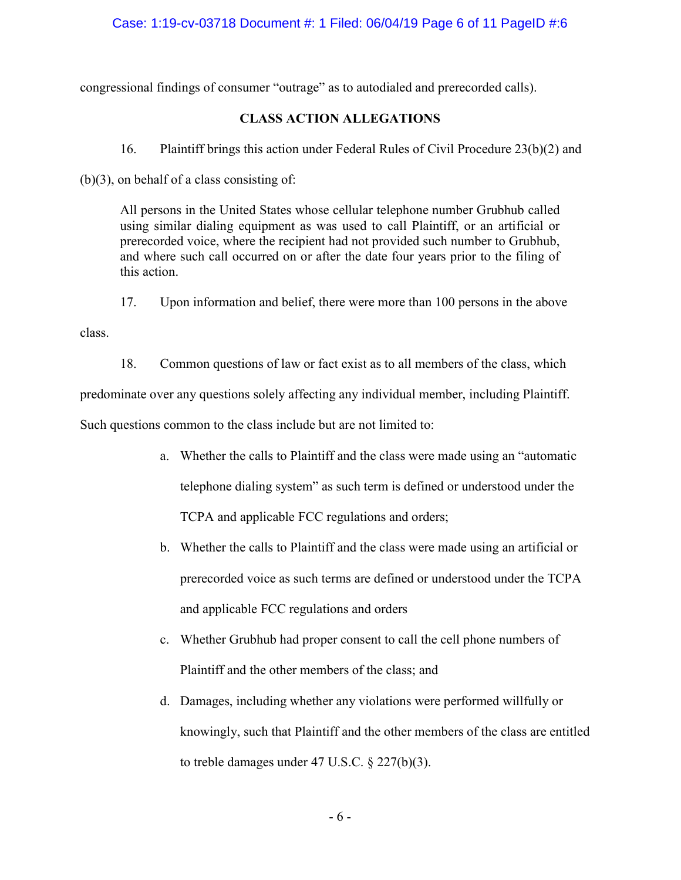### Case: 1:19-cv-03718 Document #: 1 Filed: 06/04/19 Page 6 of 11 PageID #:6

congressional findings of consumer "outrage" as to autodialed and prerecorded calls).

# CLASS ACTION ALLEGATIONS

16. Plaintiff brings this action under Federal Rules of Civil Procedure 23(b)(2) and

(b)(3), on behalf of a class consisting of:

All persons in the United States whose cellular telephone number Grubhub called using similar dialing equipment as was used to call Plaintiff, or an artificial or prerecorded voice, where the recipient had not provided such number to Grubhub, and where such call occurred on or after the date four years prior to the filing of this action.

17. Upon information and belief, there were more than 100 persons in the above

class.

18. Common questions of law or fact exist as to all members of the class, which predominate over any questions solely affecting any individual member, including Plaintiff. Such questions common to the class include but are not limited to:

- a. Whether the calls to Plaintiff and the class were made using an "automatic telephone dialing system" as such term is defined or understood under the TCPA and applicable FCC regulations and orders;
- b. Whether the calls to Plaintiff and the class were made using an artificial or prerecorded voice as such terms are defined or understood under the TCPA and applicable FCC regulations and orders
- c. Whether Grubhub had proper consent to call the cell phone numbers of Plaintiff and the other members of the class; and
- d. Damages, including whether any violations were performed willfully or knowingly, such that Plaintiff and the other members of the class are entitled to treble damages under 47 U.S.C. § 227(b)(3).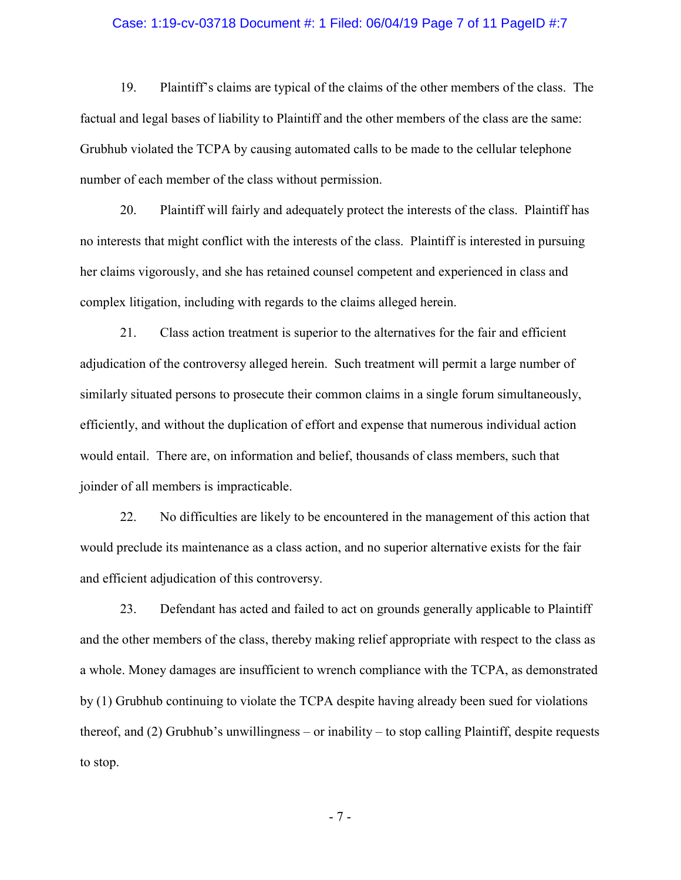#### Case: 1:19-cv-03718 Document #: 1 Filed: 06/04/19 Page 7 of 11 PageID #:7

19. Plaintiff's claims are typical of the claims of the other members of the class. The factual and legal bases of liability to Plaintiff and the other members of the class are the same: Grubhub violated the TCPA by causing automated calls to be made to the cellular telephone number of each member of the class without permission.

20. Plaintiff will fairly and adequately protect the interests of the class. Plaintiff has no interests that might conflict with the interests of the class. Plaintiff is interested in pursuing her claims vigorously, and she has retained counsel competent and experienced in class and complex litigation, including with regards to the claims alleged herein.

21. Class action treatment is superior to the alternatives for the fair and efficient adjudication of the controversy alleged herein. Such treatment will permit a large number of similarly situated persons to prosecute their common claims in a single forum simultaneously, efficiently, and without the duplication of effort and expense that numerous individual action would entail. There are, on information and belief, thousands of class members, such that joinder of all members is impracticable.

22. No difficulties are likely to be encountered in the management of this action that would preclude its maintenance as a class action, and no superior alternative exists for the fair and efficient adjudication of this controversy.

23. Defendant has acted and failed to act on grounds generally applicable to Plaintiff and the other members of the class, thereby making relief appropriate with respect to the class as a whole. Money damages are insufficient to wrench compliance with the TCPA, as demonstrated by (1) Grubhub continuing to violate the TCPA despite having already been sued for violations thereof, and (2) Grubhub's unwillingness – or inability – to stop calling Plaintiff, despite requests to stop.

- 7 -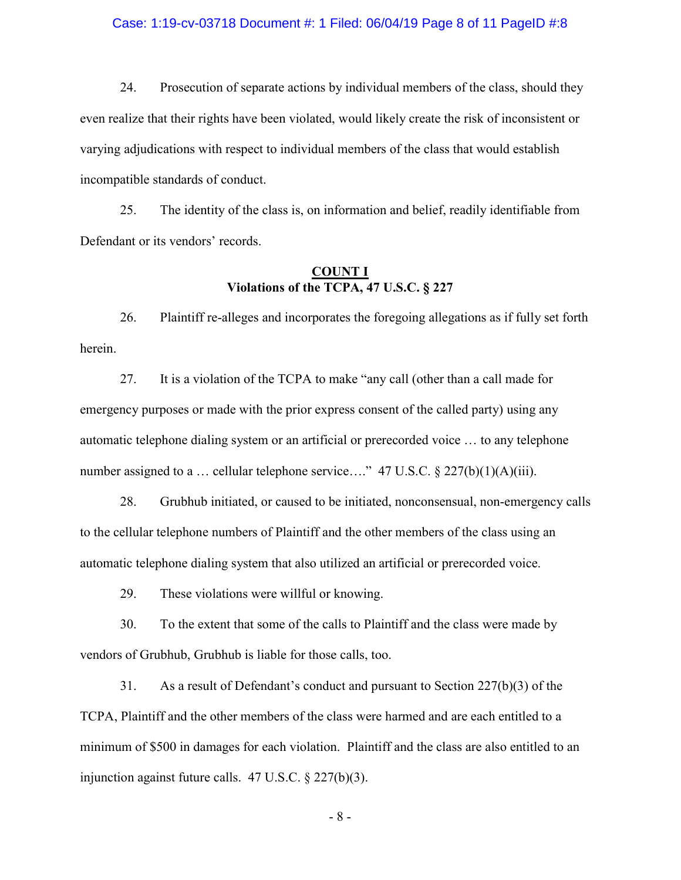#### Case: 1:19-cv-03718 Document #: 1 Filed: 06/04/19 Page 8 of 11 PageID #:8

24. Prosecution of separate actions by individual members of the class, should they even realize that their rights have been violated, would likely create the risk of inconsistent or varying adjudications with respect to individual members of the class that would establish incompatible standards of conduct.

25. The identity of the class is, on information and belief, readily identifiable from Defendant or its vendors' records.

### COUNT I Violations of the TCPA, 47 U.S.C. § 227

26. Plaintiff re-alleges and incorporates the foregoing allegations as if fully set forth herein.

27. It is a violation of the TCPA to make "any call (other than a call made for emergency purposes or made with the prior express consent of the called party) using any automatic telephone dialing system or an artificial or prerecorded voice … to any telephone number assigned to a ... cellular telephone service...." 47 U.S.C. § 227(b)(1)(A)(iii).

28. Grubhub initiated, or caused to be initiated, nonconsensual, non-emergency calls to the cellular telephone numbers of Plaintiff and the other members of the class using an automatic telephone dialing system that also utilized an artificial or prerecorded voice.

29. These violations were willful or knowing.

30. To the extent that some of the calls to Plaintiff and the class were made by vendors of Grubhub, Grubhub is liable for those calls, too.

31. As a result of Defendant's conduct and pursuant to Section 227(b)(3) of the TCPA, Plaintiff and the other members of the class were harmed and are each entitled to a minimum of \$500 in damages for each violation. Plaintiff and the class are also entitled to an injunction against future calls. 47 U.S.C. § 227(b)(3).

- 8 -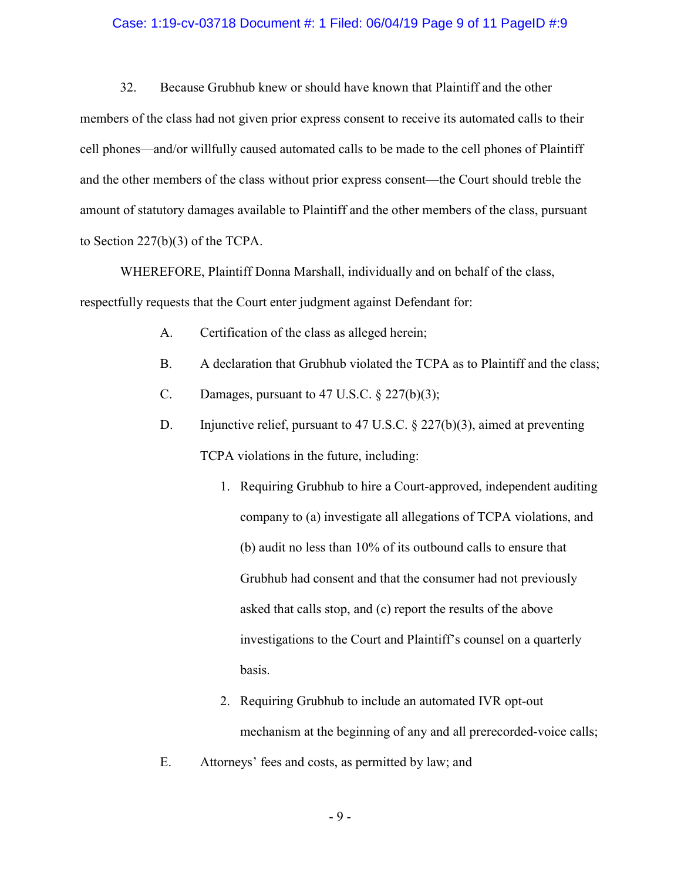#### Case: 1:19-cv-03718 Document #: 1 Filed: 06/04/19 Page 9 of 11 PageID #:9

32. Because Grubhub knew or should have known that Plaintiff and the other members of the class had not given prior express consent to receive its automated calls to their cell phones—and/or willfully caused automated calls to be made to the cell phones of Plaintiff and the other members of the class without prior express consent—the Court should treble the amount of statutory damages available to Plaintiff and the other members of the class, pursuant to Section 227(b)(3) of the TCPA.

 WHEREFORE, Plaintiff Donna Marshall, individually and on behalf of the class, respectfully requests that the Court enter judgment against Defendant for:

- A. Certification of the class as alleged herein;
- B. A declaration that Grubhub violated the TCPA as to Plaintiff and the class;
- C. Damages, pursuant to  $47$  U.S.C.  $\S$   $227(b)(3)$ ;
- D. Injunctive relief, pursuant to 47 U.S.C. § 227(b)(3), aimed at preventing TCPA violations in the future, including:
	- 1. Requiring Grubhub to hire a Court-approved, independent auditing company to (a) investigate all allegations of TCPA violations, and (b) audit no less than 10% of its outbound calls to ensure that Grubhub had consent and that the consumer had not previously asked that calls stop, and (c) report the results of the above investigations to the Court and Plaintiff's counsel on a quarterly basis.
	- 2. Requiring Grubhub to include an automated IVR opt-out mechanism at the beginning of any and all prerecorded-voice calls;
- E. Attorneys' fees and costs, as permitted by law; and

- 9 -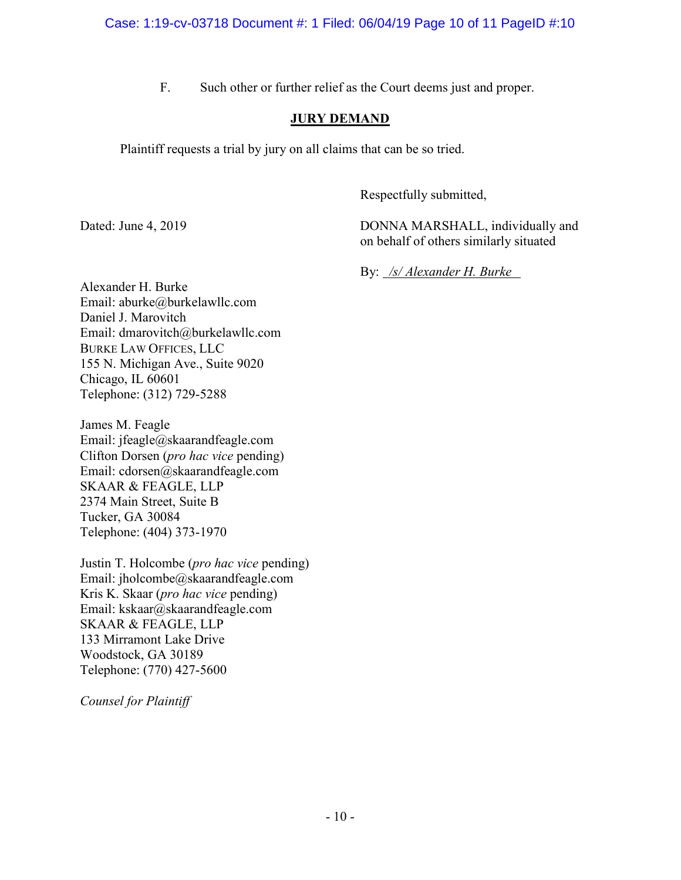F. Such other or further relief as the Court deems just and proper.

# JURY DEMAND

Plaintiff requests a trial by jury on all claims that can be so tried.

Respectfully submitted,

Dated: June 4, 2019 DONNA MARSHALL, individually and on behalf of others similarly situated

By: /s/ Alexander H. Burke

Alexander H. Burke Email: aburke@burkelawllc.com Daniel J. Marovitch Email: dmarovitch@burkelawllc.com BURKE LAW OFFICES, LLC 155 N. Michigan Ave., Suite 9020 Chicago, IL 60601 Telephone: (312) 729-5288

James M. Feagle Email: jfeagle@skaarandfeagle.com Clifton Dorsen (pro hac vice pending) Email: cdorsen@skaarandfeagle.com SKAAR & FEAGLE, LLP 2374 Main Street, Suite B Tucker, GA 30084 Telephone: (404) 373-1970

Justin T. Holcombe (pro hac vice pending) Email: jholcombe@skaarandfeagle.com Kris K. Skaar (*pro hac vice* pending) Email: kskaar@skaarandfeagle.com SKAAR & FEAGLE, LLP 133 Mirramont Lake Drive Woodstock, GA 30189 Telephone: (770) 427-5600

Counsel for Plaintiff